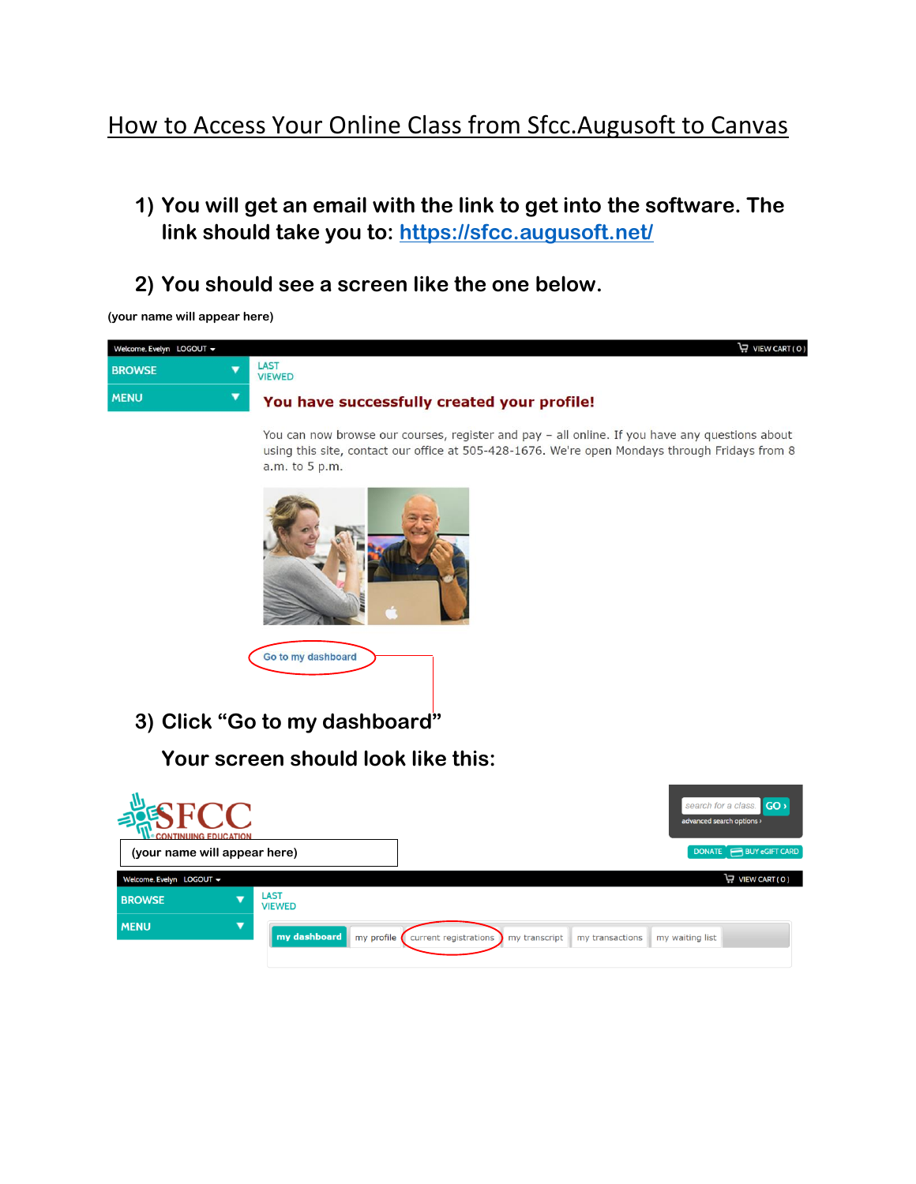## How to Access Your Online Class from Sfcc. Augusoft to Canvas

- **1) You will get an email with the link to get into the software. The link should take you to:<https://sfcc.augusoft.net/>**
- **2) You should see a screen like the one below.**

**(your name will appear here)**

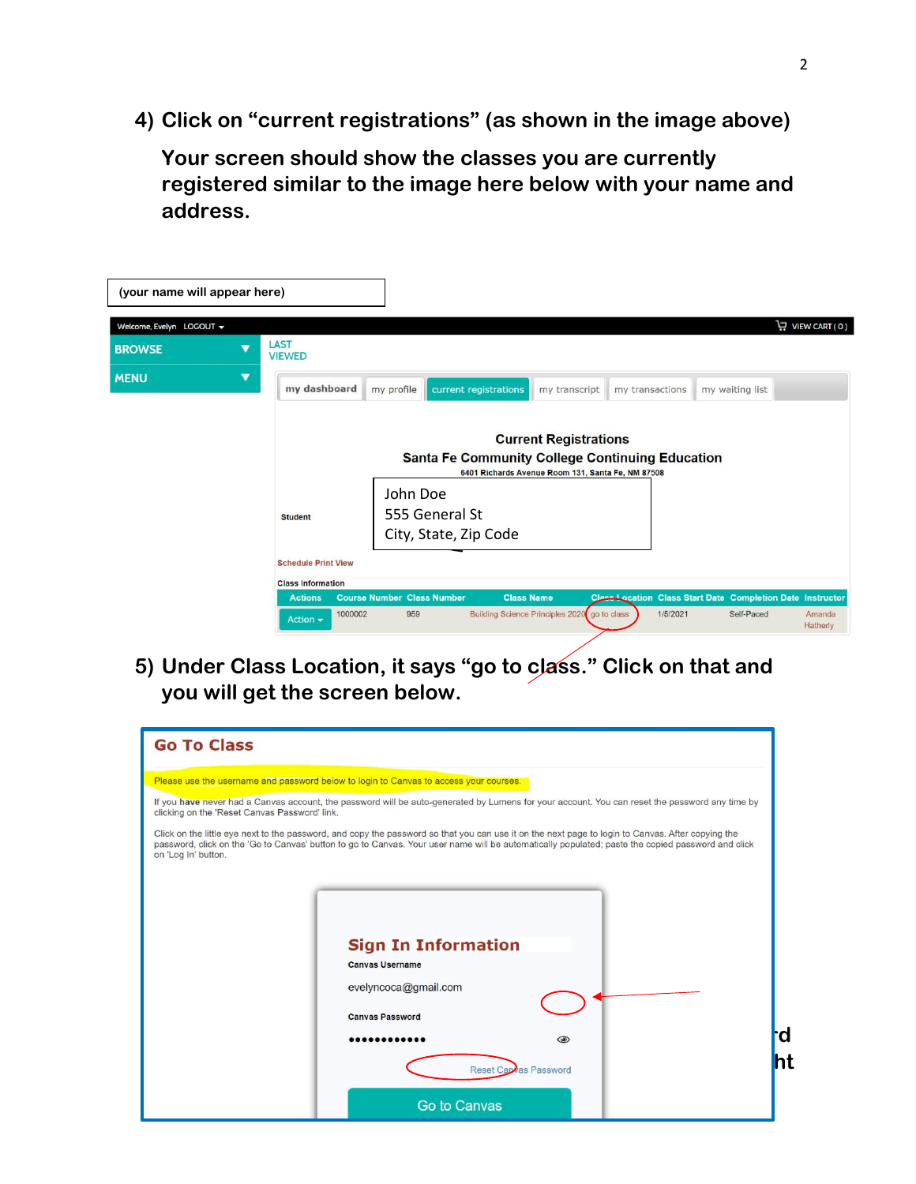**4) Click on "current registrations" (as shown in the image above)**

**Your screen should show the classes you are currently registered similar to the image here below with your name and address.**

| (your name will appear here) |                                                   |                                   |                                                        |               |                                                                   |                 |                    |
|------------------------------|---------------------------------------------------|-----------------------------------|--------------------------------------------------------|---------------|-------------------------------------------------------------------|-----------------|--------------------|
| Welcome, Evelyn LOGOUT +     |                                                   |                                   |                                                        |               |                                                                   |                 | VIEW CART (0)      |
| <b>BROWSE</b>                | <b>LAST</b><br><b>VIEWED</b>                      |                                   |                                                        |               |                                                                   |                 |                    |
| <b>MENU</b>                  | my dashboard                                      | my profile                        | current registrations                                  | my transcript | my transactions                                                   | my waiting list |                    |
|                              |                                                   |                                   |                                                        |               |                                                                   |                 |                    |
|                              | <b>Current Registrations</b>                      |                                   |                                                        |               |                                                                   |                 |                    |
|                              |                                                   |                                   | <b>Santa Fe Community College Continuing Education</b> |               |                                                                   |                 |                    |
|                              | 6401 Richards Avenue Room 131, Santa Fe, NM 87508 |                                   |                                                        |               |                                                                   |                 |                    |
|                              |                                                   | John Doe                          |                                                        |               |                                                                   |                 |                    |
|                              | <b>Student</b>                                    |                                   | 555 General St                                         |               |                                                                   |                 |                    |
|                              |                                                   |                                   | City, State, Zip Code                                  |               |                                                                   |                 |                    |
|                              | <b>Schedule Print View</b>                        |                                   |                                                        |               |                                                                   |                 |                    |
|                              | <b>Class Information</b>                          |                                   |                                                        |               |                                                                   |                 |                    |
|                              | <b>Actions</b>                                    | <b>Course Number Class Number</b> | <b>Class Name</b>                                      |               | <b>Class Location Class Start Date Completion Date Instructor</b> |                 |                    |
|                              | 1000002<br>Action $\sim$                          | 959                               | <b>Building Science Principles 2020</b>                |               | 1/5/2021<br>go to class                                           | Self-Paced      | Amanda<br>Hatherly |

**5) Under Class Location, it says "go to class." Click on that and you will get the screen below.**

| <b>Go To Class</b>                                                                                                                                                                                                                                                                                                            |
|-------------------------------------------------------------------------------------------------------------------------------------------------------------------------------------------------------------------------------------------------------------------------------------------------------------------------------|
| Please use the username and password below to login to Canvas to access your courses.                                                                                                                                                                                                                                         |
| If you have never had a Canvas account, the password will be auto-generated by Lumens for your account. You can reset the password any time by<br>clicking on the 'Reset Canvas Password' link.                                                                                                                               |
| Click on the little eye next to the password, and copy the password so that you can use it on the next page to login to Canvas. After copying the<br>password, click on the 'Go to Canvas' button to go to Canvas. Your user name will be automatically populated; paste the copied password and click<br>on 'Log In' button. |
|                                                                                                                                                                                                                                                                                                                               |
|                                                                                                                                                                                                                                                                                                                               |
| <b>Sign In Information</b>                                                                                                                                                                                                                                                                                                    |
| <b>Canvas Username</b>                                                                                                                                                                                                                                                                                                        |
| evelyncoca@gmail.com                                                                                                                                                                                                                                                                                                          |
| <b>Canvas Password</b>                                                                                                                                                                                                                                                                                                        |
| ิต<br>$\circledcirc$                                                                                                                                                                                                                                                                                                          |
| ht<br>Reset Capvas Password                                                                                                                                                                                                                                                                                                   |
| <b>Go to Canvas</b>                                                                                                                                                                                                                                                                                                           |